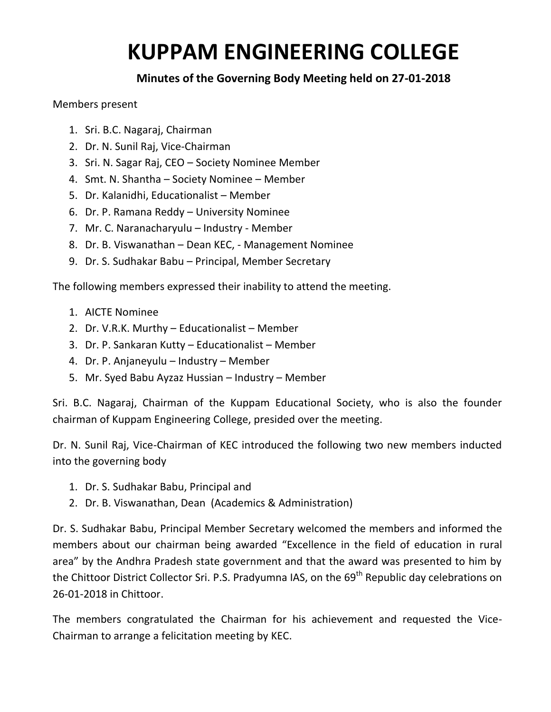## **KUPPAM ENGINEERING COLLEGE**

## **Minutes of the Governing Body Meeting held on 27-01-2018**

## Members present

- 1. Sri. B.C. Nagaraj, Chairman
- 2. Dr. N. Sunil Raj, Vice-Chairman
- 3. Sri. N. Sagar Raj, CEO Society Nominee Member
- 4. Smt. N. Shantha Society Nominee Member
- 5. Dr. Kalanidhi, Educationalist Member
- 6. Dr. P. Ramana Reddy University Nominee
- 7. Mr. C. Naranacharyulu Industry Member
- 8. Dr. B. Viswanathan Dean KEC, Management Nominee
- 9. Dr. S. Sudhakar Babu Principal, Member Secretary

The following members expressed their inability to attend the meeting.

- 1. AICTE Nominee
- 2. Dr. V.R.K. Murthy Educationalist Member
- 3. Dr. P. Sankaran Kutty Educationalist Member
- 4. Dr. P. Anjaneyulu Industry Member
- 5. Mr. Syed Babu Ayzaz Hussian Industry Member

Sri. B.C. Nagaraj, Chairman of the Kuppam Educational Society, who is also the founder chairman of Kuppam Engineering College, presided over the meeting.

Dr. N. Sunil Raj, Vice-Chairman of KEC introduced the following two new members inducted into the governing body

- 1. Dr. S. Sudhakar Babu, Principal and
- 2. Dr. B. Viswanathan, Dean (Academics & Administration)

Dr. S. Sudhakar Babu, Principal Member Secretary welcomed the members and informed the members about our chairman being awarded "Excellence in the field of education in rural area" by the Andhra Pradesh state government and that the award was presented to him by the Chittoor District Collector Sri. P.S. Pradyumna IAS, on the 69<sup>th</sup> Republic day celebrations on 26-01-2018 in Chittoor.

The members congratulated the Chairman for his achievement and requested the Vice-Chairman to arrange a felicitation meeting by KEC.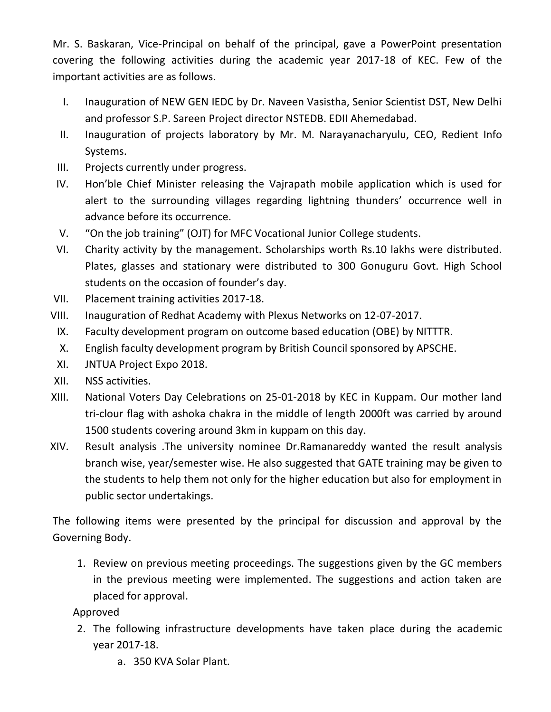Mr. S. Baskaran, Vice-Principal on behalf of the principal, gave a PowerPoint presentation covering the following activities during the academic year 2017-18 of KEC. Few of the important activities are as follows.

- I. Inauguration of NEW GEN IEDC by Dr. Naveen Vasistha, Senior Scientist DST, New Delhi and professor S.P. Sareen Project director NSTEDB. EDII Ahemedabad.
- II. Inauguration of projects laboratory by Mr. M. Narayanacharyulu, CEO, Redient Info Systems.
- III. Projects currently under progress.
- IV. Hon'ble Chief Minister releasing the Vajrapath mobile application which is used for alert to the surrounding villages regarding lightning thunders' occurrence well in advance before its occurrence.
- V. "On the job training" (OJT) for MFC Vocational Junior College students.
- VI. Charity activity by the management. Scholarships worth Rs.10 lakhs were distributed. Plates, glasses and stationary were distributed to 300 Gonuguru Govt. High School students on the occasion of founder's day.
- VII. Placement training activities 2017-18.
- VIII. Inauguration of Redhat Academy with Plexus Networks on 12-07-2017.
	- IX. Faculty development program on outcome based education (OBE) by NITTTR.
	- X. English faculty development program by British Council sponsored by APSCHE.
- XI. JNTUA Project Expo 2018.
- XII. NSS activities.
- XIII. National Voters Day Celebrations on 25-01-2018 by KEC in Kuppam. Our mother land tri-clour flag with ashoka chakra in the middle of length 2000ft was carried by around 1500 students covering around 3km in kuppam on this day.
- XIV. Result analysis .The university nominee Dr.Ramanareddy wanted the result analysis branch wise, year/semester wise. He also suggested that GATE training may be given to the students to help them not only for the higher education but also for employment in public sector undertakings.

The following items were presented by the principal for discussion and approval by the Governing Body.

1. Review on previous meeting proceedings. The suggestions given by the GC members in the previous meeting were implemented. The suggestions and action taken are placed for approval.

Approved

- 2. The following infrastructure developments have taken place during the academic year 2017-18.
	- a. 350 KVA Solar Plant.